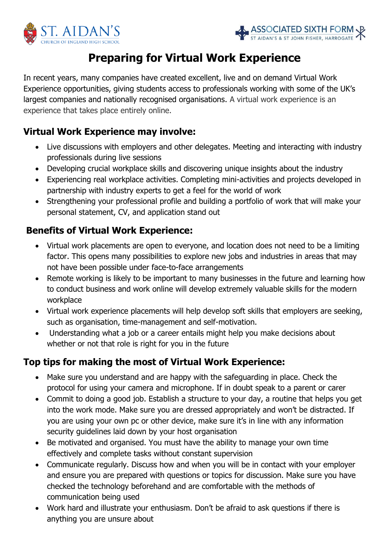



# **Preparing for Virtual Work Experience**

In recent years, many companies have created excellent, live and on demand Virtual Work Experience opportunities, giving students access to professionals working with some of the UK's largest companies and nationally recognised organisations. A virtual work experience is an experience that takes place entirely online.

### **Virtual Work Experience may involve:**

- Live discussions with employers and other delegates. Meeting and interacting with industry professionals during live sessions
- Developing crucial workplace skills and discovering unique insights about the industry
- Experiencing real workplace activities. Completing mini-activities and projects developed in partnership with industry experts to get a feel for the world of work
- Strengthening your professional profile and building a portfolio of work that will make your personal statement, CV, and application stand out

#### **Benefits of Virtual Work Experience:**

- Virtual work placements are open to everyone, and location does not need to be a limiting factor. This opens many possibilities to explore new jobs and industries in areas that may not have been possible under face-to-face arrangements
- Remote working is likely to be important to many businesses in the future and learning how to conduct business and work online will develop extremely valuable skills for the modern workplace
- Virtual work experience placements will help develop soft skills that employers are seeking, such as organisation, time-management and self-motivation.
- Understanding what a job or a career entails might help you make decisions about whether or not that role is right for you in the future

### **Top tips for making the most of Virtual Work Experience:**

- Make sure you understand and are happy with the safeguarding in place. Check the protocol for using your camera and microphone. If in doubt speak to a parent or carer
- Commit to doing a good job. Establish a structure to your day, a routine that helps you get into the work mode. Make sure you are dressed appropriately and won't be distracted. If you are using your own pc or other device, make sure it's in line with any information security guidelines laid down by your host organisation
- Be motivated and organised. You must have the ability to [manage your own time](https://www.linkedin.com/learning/time-management-working-from-home?u=50251009) effectively and complete tasks without constant supervision
- Communicate regularly. Discuss how and when you will be in contact with your employer and ensure you are prepared with questions or topics for discussion. Make sure you have checked the technology beforehand and are comfortable with the methods of communication being used
- Work hard and illustrate your enthusiasm. Don't be afraid to ask questions if there is anything you are unsure about